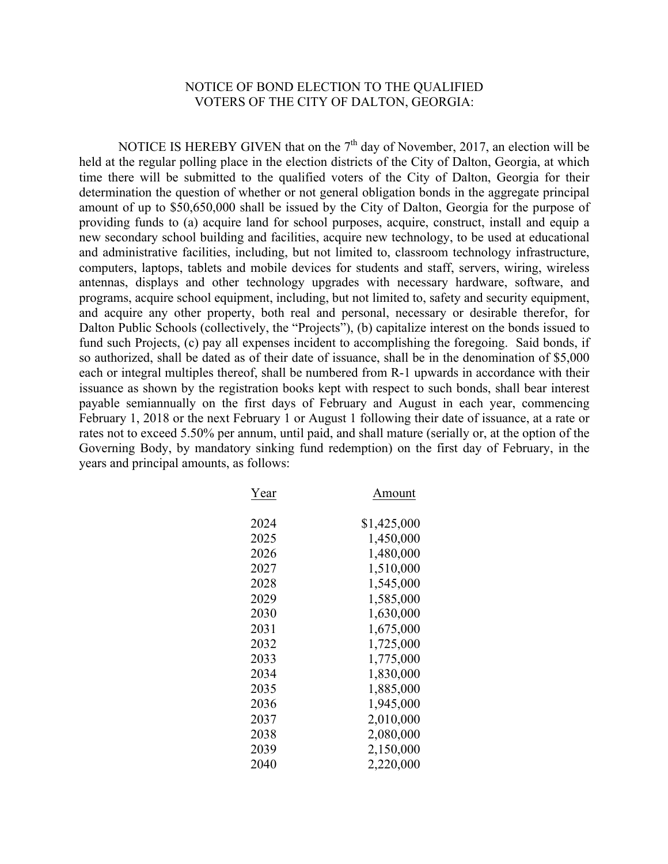## NOTICE OF BOND ELECTION TO THE QUALIFIED VOTERS OF THE CITY OF DALTON, GEORGIA:

NOTICE IS HEREBY GIVEN that on the  $7<sup>th</sup>$  day of November, 2017, an election will be held at the regular polling place in the election districts of the City of Dalton, Georgia, at which time there will be submitted to the qualified voters of the City of Dalton, Georgia for their determination the question of whether or not general obligation bonds in the aggregate principal amount of up to \$50,650,000 shall be issued by the City of Dalton, Georgia for the purpose of providing funds to (a) acquire land for school purposes, acquire, construct, install and equip a new secondary school building and facilities, acquire new technology, to be used at educational and administrative facilities, including, but not limited to, classroom technology infrastructure, computers, laptops, tablets and mobile devices for students and staff, servers, wiring, wireless antennas, displays and other technology upgrades with necessary hardware, software, and programs, acquire school equipment, including, but not limited to, safety and security equipment, and acquire any other property, both real and personal, necessary or desirable therefor, for Dalton Public Schools (collectively, the "Projects"), (b) capitalize interest on the bonds issued to fund such Projects, (c) pay all expenses incident to accomplishing the foregoing. Said bonds, if so authorized, shall be dated as of their date of issuance, shall be in the denomination of \$5,000 each or integral multiples thereof, shall be numbered from R-1 upwards in accordance with their issuance as shown by the registration books kept with respect to such bonds, shall bear interest payable semiannually on the first days of February and August in each year, commencing February 1, 2018 or the next February 1 or August 1 following their date of issuance, at a rate or rates not to exceed 5.50% per annum, until paid, and shall mature (serially or, at the option of the Governing Body, by mandatory sinking fund redemption) on the first day of February, in the years and principal amounts, as follows:

| Year | Amount      |
|------|-------------|
|      |             |
| 2024 | \$1,425,000 |
| 2025 | 1,450,000   |
| 2026 | 1,480,000   |
| 2027 | 1,510,000   |
| 2028 | 1,545,000   |
| 2029 | 1,585,000   |
| 2030 | 1,630,000   |
| 2031 | 1,675,000   |
| 2032 | 1,725,000   |
| 2033 | 1,775,000   |
| 2034 | 1,830,000   |
| 2035 | 1,885,000   |
| 2036 | 1,945,000   |
| 2037 | 2,010,000   |
| 2038 | 2,080,000   |
| 2039 | 2,150,000   |
| 2040 | 2,220,000   |